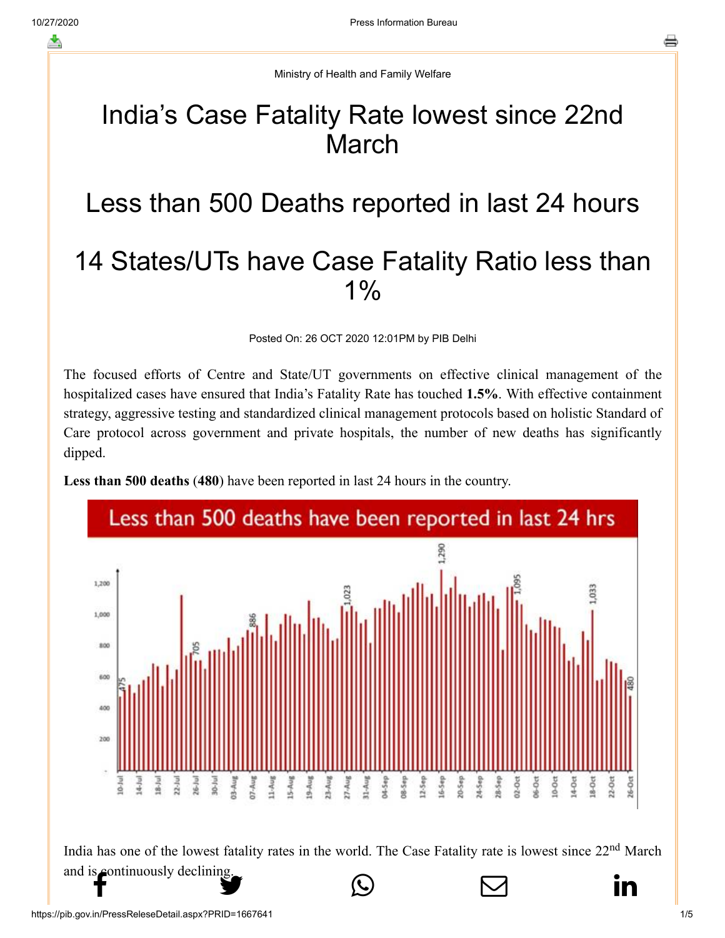Ministry of Health and Family Welfare

## India's Case Fatality Rate lowest since 22nd March

## Less than 500 Deaths reported in last 24 hours 14 States/UTs have Case Fatality Ratio less than  $1\%$

Posted On: 26 OCT 2020 12:01PM by PIB Delhi

The focused efforts of Centre and State/UT governments on effective clinical management of the hospitalized cases have ensured that India's Fatality Rate has touched **1.5%**. With effective containment strategy, aggressive testing and standardized clinical management protocols based on holistic Standard of Care protocol across government and private hospitals, the number of new deaths has significantly dipped.



**Less than 500 deaths** (**480**) have been reported in last 24 hours in the country.

India has one of the lowest fatality rates in the world. The Case Fatality rate is lowest since 22<sup>nd</sup> March [and is continuousl](http://www.facebook.com/share.php?u=https://pib.gov.in/PressReleasePage.aspx?PRID=1667546)[y declining.](https://twitter.com/intent/tweet?url=https://pib.gov.in/PressReleasePage.aspx?PRID=1667546&text=India%E2%80%99s%20Case%20Fatality%20Rate%20lowest%20since%2022nd%20March)  $f$  in the seming- $\bigcirc$   $\bigcirc$   $\bigcirc$  in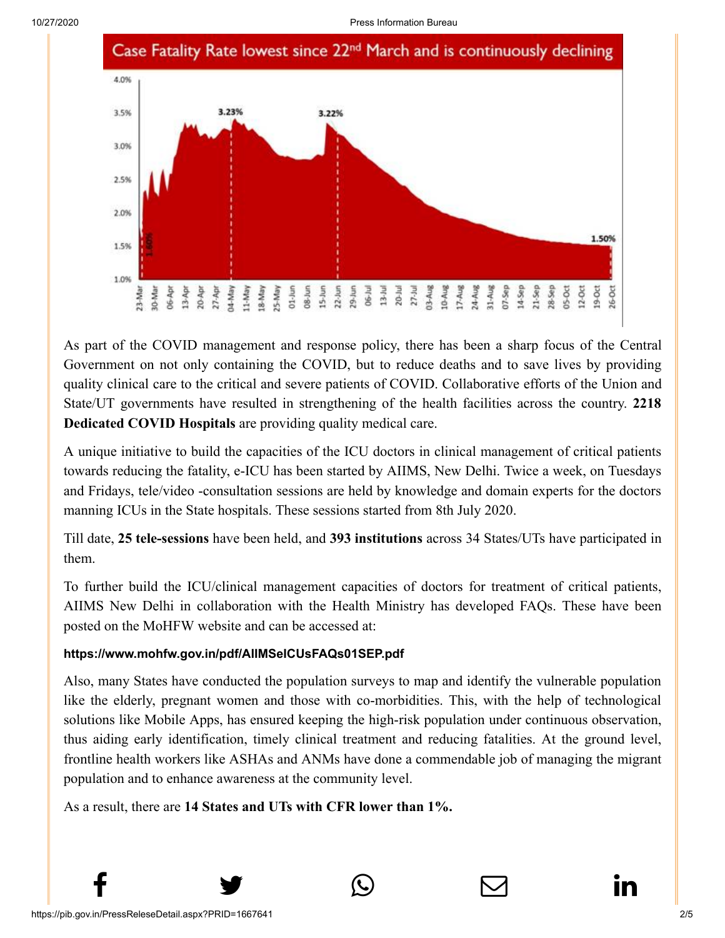

As part of the COVID management and response policy, there has been a sharp focus of the Central Government on not only containing the COVID, but to reduce deaths and to save lives by providing quality clinical care to the critical and severe patients of COVID. Collaborative efforts of the Union and State/UT governments have resulted in strengthening of the health facilities across the country. **2218 Dedicated COVID Hospitals** are providing quality medical care.

A unique initiative to build the capacities of the ICU doctors in clinical management of critical patients towards reducing the fatality, e-ICU has been started by AIIMS, New Delhi. Twice a week, on Tuesdays and Fridays, tele/video -consultation sessions are held by knowledge and domain experts for the doctors manning ICUs in the State hospitals. These sessions started from 8th July 2020.

Till date, **25 tele-sessions** have been held, and **393 institutions** across 34 States/UTs have participated in them.

To further build the ICU/clinical management capacities of doctors for treatment of critical patients, AIIMS New Delhi in collaboration with the Health Ministry has developed FAQs. These have been posted on the MoHFW website and can be accessed at:

## **<https://www.mohfw.gov.in/pdf/AIIMSeICUsFAQs01SEP.pdf>**

Also, many States have conducted the population surveys to map and identify the vulnerable population like the elderly, pregnant women and those with co-morbidities. This, with the help of technological solutions like Mobile Apps, has ensured keeping the high-risk population under continuous observation, thus aiding early identification, timely clinical treatment and reducing fatalities. At the ground level, frontline health workers like ASHAs and ANMs have done a commendable job of managing the migrant population and to enhance awareness at the community level.

 $f$  y  $\circledcirc$   $\quad \circ$  in

As a result, there are **14 States and UTs with CFR lower than 1%.**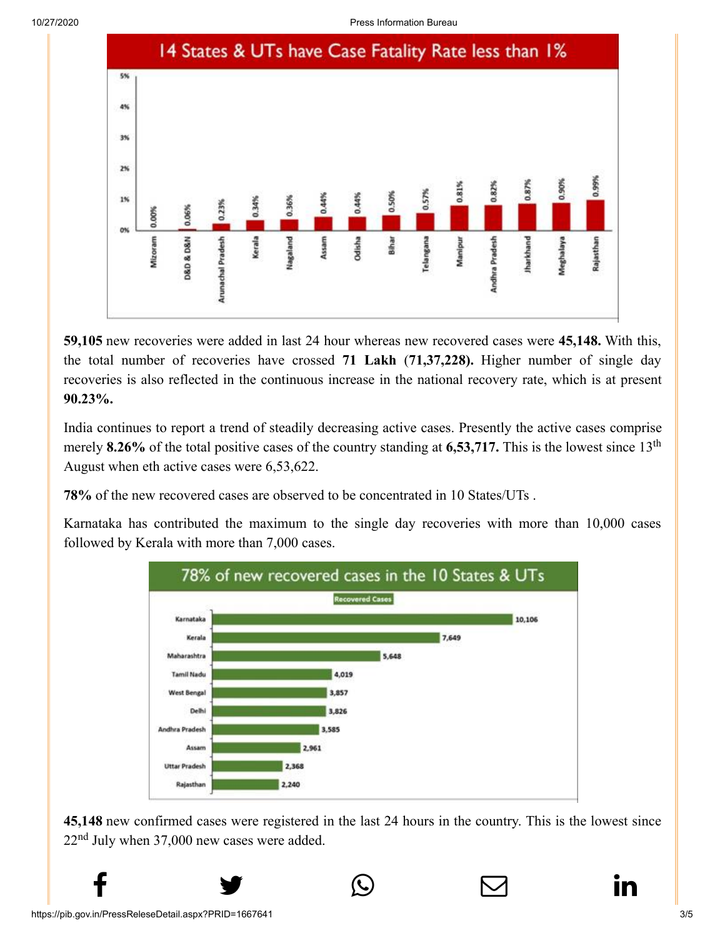10/27/2020 Press Information Bureau



**59,105** new recoveries were added in last 24 hour whereas new recovered cases were **45,148.** With this, the total number of recoveries have crossed **71 Lakh** (**71,37,228).** Higher number of single day recoveries is also reflected in the continuous increase in the national recovery rate, which is at present **90.23%.**

India continues to report a trend of steadily decreasing active cases. Presently the active cases comprise merely 8.26% of the total positive cases of the country standing at 6,53,717. This is the lowest since 13<sup>th</sup> August when eth active cases were 6,53,622.

**78%** of the new recovered cases are observed to be concentrated in 10 States/UTs .

Karnataka has contributed the maximum to the single day recoveries with more than 10,000 cases followed by Kerala with more than 7,000 cases.



**45,148** new confirmed cases were registered in the last 24 hours in the country. This is the lowest since  $22<sup>nd</sup>$  July when 37,000 new cases were added.

 $f$  y  $\circledcirc$   $\quad \circ$  in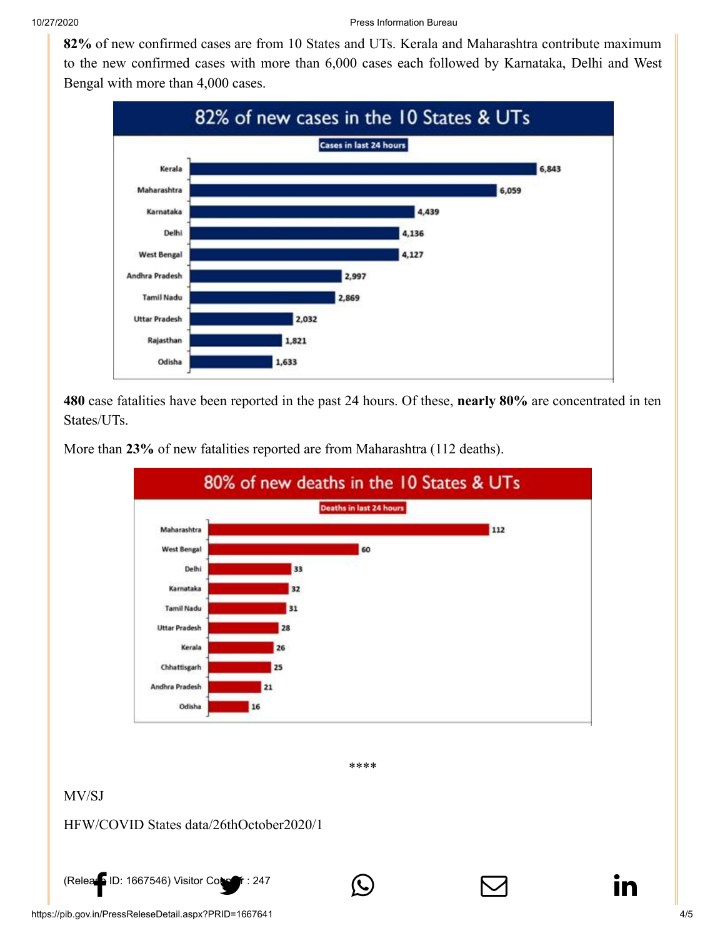**82%** [of new conf](http://www.facebook.com/share.php?u=https://pib.gov.in/PressReleasePage.aspx?PRID=1667546)[irmed cases](https://twitter.com/intent/tweet?url=https://pib.gov.in/PressReleasePage.aspx?PRID=1667546&text=India%E2%80%99s%20Case%20Fatality%20Rate%20lowest%20since%2022nd%20March) are from 1[0 States and UTs. Keral](https://api.whatsapp.com/send?text=https://pib.gov.in/PressReleasePage.aspx?PRID=1667546)a and [Maharashtra con](https://mail.google.com/mail/?view=cm&fs=1&tf=1&to=&su=India%E2%80%99s%20Case%20Fatality%20Rate%20lowest%20since%2022nd%20March&body=https://pib.gov.in/PressReleasePage.aspx?PRID=1667546&ui=2&tf=1&pli=1)[tribute maximum](https://www.linkedin.com/shareArticle?mini=true&url=https://pib.gov.in/PressReleasePage.aspx?PRID=1667546&title=India%E2%80%99s%20Case%20Fatality%20Rate%20lowest%20since%2022nd%20March&summary=My%20favorite%20developer%20program&source=LinkedIn) to the new confirmed cases with more than 6,000 cases each followed by Karnataka, Delhi and West Bengal with more than 4,000 cases.



**480** case fatalities have been reported in the past 24 hours. Of these, **nearly 80%** are concentrated in ten States/UTs.

More than **23%** of new fatalities reported are from Maharashtra (112 deaths).



[\(Release ID: 1667546](http://www.facebook.com/share.php?u=https://pib.gov.in/PressReleasePage.aspx?PRID=1667546)) [Visitor Counter : 247](https://twitter.com/intent/tweet?url=https://pib.gov.in/PressReleasePage.aspx?PRID=1667546&text=India%E2%80%99s%20Case%20Fatality%20Rate%20lowest%20since%2022nd%20March) (C)  $\Box$